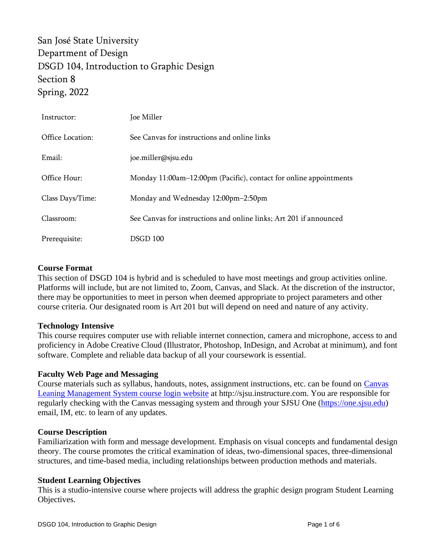San José State University Department of Design DSGD 104, Introduction to Graphic Design Section 8 Spring, 2022

| Instructor:      | Joe Miller                                                         |
|------------------|--------------------------------------------------------------------|
| Office Location: | See Canvas for instructions and online links                       |
| Email:           | joe.miller@sjsu.edu                                                |
| Office Hour:     | Monday 11:00am-12:00pm (Pacific), contact for online appointments  |
| Class Days/Time: | Monday and Wednesday 12:00pm-2:50pm                                |
| Classroom:       | See Canvas for instructions and online links; Art 201 if announced |
| Prerequisite:    | DSGD 100                                                           |

#### **Course Format**

This section of DSGD 104 is hybrid and is scheduled to have most meetings and group activities online. Platforms will include, but are not limited to, Zoom, Canvas, and Slack. At the discretion of the instructor, there may be opportunities to meet in person when deemed appropriate to project parameters and other course criteria. Our designated room is Art 201 but will depend on need and nature of any activity.

#### **Technology Intensive**

This course requires computer use with reliable internet connection, camera and microphone, access to and proficiency in Adobe Creative Cloud (Illustrator, Photoshop, InDesign, and Acrobat at minimum), and font software. Complete and reliable data backup of all your coursework is essential.

#### **Faculty Web Page and Messaging**

Course materials such as syllabus, handouts, notes, assignment instructions, etc. can be found on [Canvas](http://sjsu.instructure.com/)  [Leaning Management System course login website](http://sjsu.instructure.com/) at http://sjsu.instructure.com. You are responsible for regularly checking with the Canvas messaging system and through your SJSU One [\(https://one.sjsu.edu\)](https://one.sjsu.edu/) email, IM, etc. to learn of any updates*.*

#### **Course Description**

Familiarization with form and message development. Emphasis on visual concepts and fundamental design theory. The course promotes the critical examination of ideas, two-dimensional spaces, three-dimensional structures, and time-based media, including relationships between production methods and materials.

#### **Student Learning Objectives**

This is a studio-intensive course where projects will address the graphic design program Student Learning Objectives.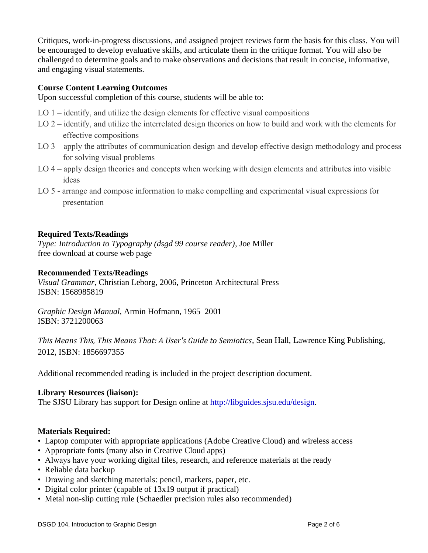Critiques, work-in-progress discussions, and assigned project reviews form the basis for this class. You will be encouraged to develop evaluative skills, and articulate them in the critique format. You will also be challenged to determine goals and to make observations and decisions that result in concise, informative, and engaging visual statements.

# **Course Content Learning Outcomes**

Upon successful completion of this course, students will be able to:

- LO 1 identify, and utilize the design elements for effective visual compositions
- LO 2 identify, and utilize the interrelated design theories on how to build and work with the elements for effective compositions
- LO 3 apply the attributes of communication design and develop effective design methodology and process for solving visual problems
- LO 4 apply design theories and concepts when working with design elements and attributes into visible ideas
- LO 5 arrange and compose information to make compelling and experimental visual expressions for presentation

## **Required Texts/Readings**

*Type: Introduction to Typography (dsgd 99 course reader)*, Joe Miller free download at course web page

## **Recommended Texts/Readings**

*Visual Grammar*, Christian Leborg, 2006, Princeton Architectural Press ISBN: 1568985819

*Graphic Design Manual*, Armin Hofmann, 1965–2001 ISBN: 3721200063

*This Means This, This Means That: A User's Guide to Semiotics*, Sean Hall, Lawrence King Publishing, 2012, ISBN: 1856697355

Additional recommended reading is included in the project description document.

### **Library Resources (liaison):**

The SJSU Library has support for Design online at [http://libguides.sjsu.edu/design.](http://libguides.sjsu.edu/design)

### **Materials Required:**

- Laptop computer with appropriate applications (Adobe Creative Cloud) and wireless access
- Appropriate fonts (many also in Creative Cloud apps)
- Always have your working digital files, research, and reference materials at the ready
- Reliable data backup
- Drawing and sketching materials: pencil, markers, paper, etc.
- Digital color printer (capable of 13x19 output if practical)
- Metal non-slip cutting rule (Schaedler precision rules also recommended)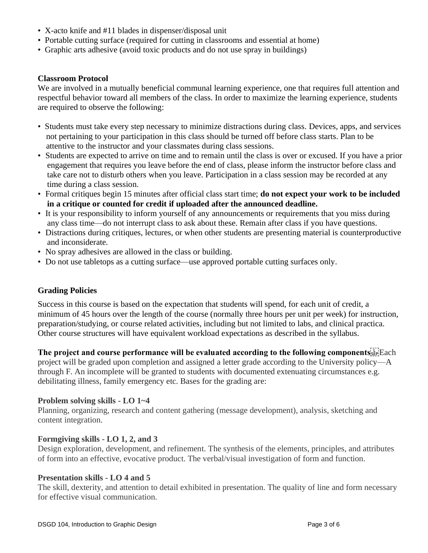- X-acto knife and #11 blades in dispenser/disposal unit
- Portable cutting surface (required for cutting in classrooms and essential at home)
- Graphic arts adhesive (avoid toxic products and do not use spray in buildings)

### **Classroom Protocol**

We are involved in a mutually beneficial communal learning experience, one that requires full attention and respectful behavior toward all members of the class. In order to maximize the learning experience, students are required to observe the following:

- Students must take every step necessary to minimize distractions during class. Devices, apps, and services not pertaining to your participation in this class should be turned off before class starts. Plan to be attentive to the instructor and your classmates during class sessions.
- Students are expected to arrive on time and to remain until the class is over or excused. If you have a prior engagement that requires you leave before the end of class, please inform the instructor before class and take care not to disturb others when you leave. Participation in a class session may be recorded at any time during a class session.
- Formal critiques begin 15 minutes after official class start time; **do not expect your work to be included in a critique or counted for credit if uploaded after the announced deadline.**
- It is your responsibility to inform yourself of any announcements or requirements that you miss during any class time—do not interrupt class to ask about these. Remain after class if you have questions.
- Distractions during critiques, lectures, or when other students are presenting material is counterproductive and inconsiderate.
- No spray adhesives are allowed in the class or building.
- Do not use tabletops as a cutting surface—use approved portable cutting surfaces only.

### **Grading Policies**

Success in this course is based on the expectation that students will spend, for each unit of credit, a minimum of 45 hours over the length of the course (normally three hours per unit per week) for instruction, preparation/studying, or course related activities, including but not limited to labs, and clinical practica. Other course structures will have equivalent workload expectations as described in the syllabus.

### **The project and course performance will be evaluated according to the following components** Each

project will be graded upon completion and assigned a letter grade according to the University policy—A through F. An incomplete will be granted to students with documented extenuating circumstances e.g. debilitating illness, family emergency etc. Bases for the grading are:

### **Problem solving skills - LO 1~4**

Planning, organizing, research and content gathering (message development), analysis, sketching and content integration.

### **Formgiving skills - LO 1, 2, and 3**

Design exploration, development, and refinement. The synthesis of the elements, principles, and attributes of form into an effective, evocative product. The verbal/visual investigation of form and function.

### **Presentation skills - LO 4 and 5**

The skill, dexterity, and attention to detail exhibited in presentation. The quality of line and form necessary for effective visual communication.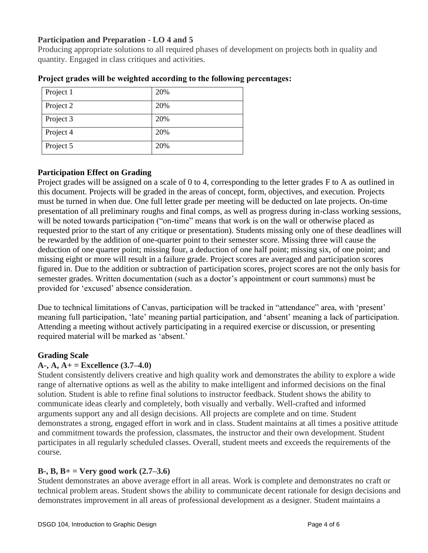# **Participation and Preparation - LO 4 and 5**

Producing appropriate solutions to all required phases of development on projects both in quality and quantity. Engaged in class critiques and activities.

| Project 1 | 20% |
|-----------|-----|
| Project 2 | 20% |
| Project 3 | 20% |
| Project 4 | 20% |
| Project 5 | 20% |

### **Project grades will be weighted according to the following percentages:**

# **Participation Effect on Grading**

Project grades will be assigned on a scale of 0 to 4, corresponding to the letter grades F to A as outlined in this document. Projects will be graded in the areas of concept, form, objectives, and execution. Projects must be turned in when due. One full letter grade per meeting will be deducted on late projects. On-time presentation of all preliminary roughs and final comps, as well as progress during in-class working sessions, will be noted towards participation ("on-time" means that work is on the wall or otherwise placed as requested prior to the start of any critique or presentation). Students missing only one of these deadlines will be rewarded by the addition of one-quarter point to their semester score. Missing three will cause the deduction of one quarter point; missing four, a deduction of one half point; missing six, of one point; and missing eight or more will result in a failure grade. Project scores are averaged and participation scores figured in. Due to the addition or subtraction of participation scores, project scores are not the only basis for semester grades. Written documentation (such as a doctor's appointment or court summons) must be provided for 'excused' absence consideration.

Due to technical limitations of Canvas, participation will be tracked in "attendance" area, with 'present' meaning full participation, 'late' meaning partial participation, and 'absent' meaning a lack of participation. Attending a meeting without actively participating in a required exercise or discussion, or presenting required material will be marked as 'absent.'

# **Grading Scale**

# **A-, A, A+ = Excellence (3.7–4.0)**

Student consistently delivers creative and high quality work and demonstrates the ability to explore a wide range of alternative options as well as the ability to make intelligent and informed decisions on the final solution. Student is able to refine final solutions to instructor feedback. Student shows the ability to communicate ideas clearly and completely, both visually and verbally. Well-crafted and informed arguments support any and all design decisions. All projects are complete and on time. Student demonstrates a strong, engaged effort in work and in class. Student maintains at all times a positive attitude and commitment towards the profession, classmates, the instructor and their own development. Student participates in all regularly scheduled classes. Overall, student meets and exceeds the requirements of the course.

# **B-, B, B+ = Very good work (2.7–3.6)**

Student demonstrates an above average effort in all areas. Work is complete and demonstrates no craft or technical problem areas. Student shows the ability to communicate decent rationale for design decisions and demonstrates improvement in all areas of professional development as a designer. Student maintains a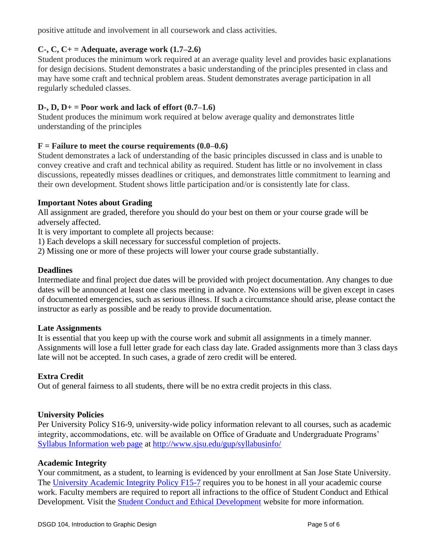positive attitude and involvement in all coursework and class activities.

# **C-, C, C+ = Adequate, average work (1.7–2.6)**

Student produces the minimum work required at an average quality level and provides basic explanations for design decisions. Student demonstrates a basic understanding of the principles presented in class and may have some craft and technical problem areas. Student demonstrates average participation in all regularly scheduled classes.

# **D-, D, D+ = Poor work and lack of effort (0.7–1.6)**

Student produces the minimum work required at below average quality and demonstrates little understanding of the principles

## $F =$  **Failure to meet the course requirements**  $(0.0-0.6)$

Student demonstrates a lack of understanding of the basic principles discussed in class and is unable to convey creative and craft and technical ability as required. Student has little or no involvement in class discussions, repeatedly misses deadlines or critiques, and demonstrates little commitment to learning and their own development. Student shows little participation and/or is consistently late for class.

### **Important Notes about Grading**

All assignment are graded, therefore you should do your best on them or your course grade will be adversely affected.

It is very important to complete all projects because:

- 1) Each develops a skill necessary for successful completion of projects.
- 2) Missing one or more of these projects will lower your course grade substantially.

## **Deadlines**

Intermediate and final project due dates will be provided with project documentation. Any changes to due dates will be announced at least one class meeting in advance. No extensions will be given except in cases of documented emergencies, such as serious illness. If such a circumstance should arise, please contact the instructor as early as possible and be ready to provide documentation.

### **Late Assignments**

It is essential that you keep up with the course work and submit all assignments in a timely manner. Assignments will lose a full letter grade for each class day late. Graded assignments more than 3 class days late will not be accepted. In such cases, a grade of zero credit will be entered.

### **Extra Credit**

Out of general fairness to all students, there will be no extra credit projects in this class.

### **University Policies**

Per University Policy S16-9, university-wide policy information relevant to all courses, such as academic integrity, accommodations, etc. will be available on Office of Graduate and Undergraduate Programs' [Syllabus Information web page](http://www.sjsu.edu/gup/syllabusinfo/) at<http://www.sjsu.edu/gup/syllabusinfo/>

### **Academic Integrity**

Your commitment, as a student, to learning is evidenced by your enrollment at San Jose State University. The [University Academic Integrity Policy F15-7](http://www.sjsu.edu/senate/docs/F15-7.pdf) requires you to be honest in all your academic course work. Faculty members are required to report all infractions to the office of Student Conduct and Ethical Development. Visit the [Student Conduct and Ethical Development](http://www.sjsu.edu/studentconduct/) website for more information.